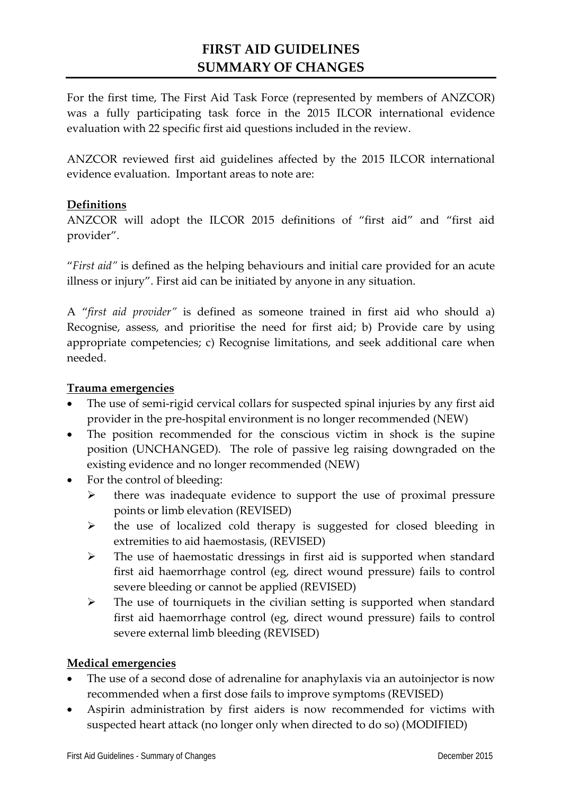# **FIRST AID GUIDELINES SUMMARY OF CHANGES**

For the first time, The First Aid Task Force (represented by members of ANZCOR) was a fully participating task force in the 2015 ILCOR international evidence evaluation with 22 specific first aid questions included in the review.

ANZCOR reviewed first aid guidelines affected by the 2015 ILCOR international evidence evaluation. Important areas to note are:

# **Definitions**

ANZCOR will adopt the ILCOR 2015 definitions of "first aid" and "first aid provider".

"*First aid"* is defined as the helping behaviours and initial care provided for an acute illness or injury". First aid can be initiated by anyone in any situation.

A "*first aid provider"* is defined as someone trained in first aid who should a) Recognise, assess, and prioritise the need for first aid; b) Provide care by using appropriate competencies; c) Recognise limitations, and seek additional care when needed.

### **Trauma emergencies**

- The use of semi-rigid cervical collars for suspected spinal injuries by any first aid provider in the pre-hospital environment is no longer recommended (NEW)
- The position recommended for the conscious victim in shock is the supine position (UNCHANGED). The role of passive leg raising downgraded on the existing evidence and no longer recommended (NEW)
- For the control of bleeding:
	- $\triangleright$  there was inadequate evidence to support the use of proximal pressure points or limb elevation (REVISED)
	- $\triangleright$  the use of localized cold therapy is suggested for closed bleeding in extremities to aid haemostasis, (REVISED)
	- $\triangleright$  The use of haemostatic dressings in first aid is supported when standard first aid haemorrhage control (eg, direct wound pressure) fails to control severe bleeding or cannot be applied (REVISED)
	- $\triangleright$  The use of tourniquets in the civilian setting is supported when standard first aid haemorrhage control (eg, direct wound pressure) fails to control severe external limb bleeding (REVISED)

#### **Medical emergencies**

- The use of a second dose of adrenaline for anaphylaxis via an autoinjector is now recommended when a first dose fails to improve symptoms (REVISED)
- Aspirin administration by first aiders is now recommended for victims with suspected heart attack (no longer only when directed to do so) (MODIFIED)